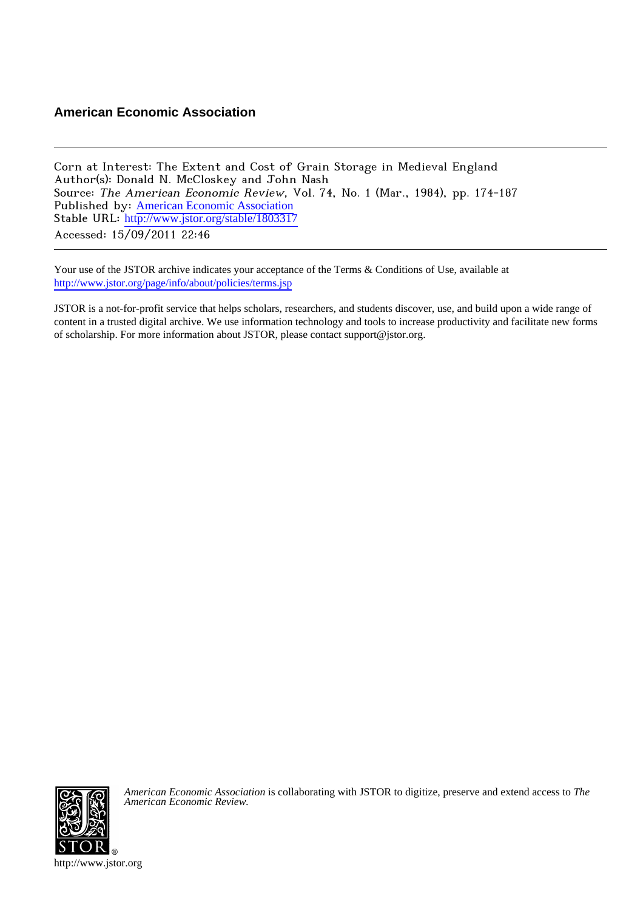# **American Economic Association**

Corn at Interest: The Extent and Cost of Grain Storage in Medieval England Author(s): Donald N. McCloskey and John Nash Source: The American Economic Review, Vol. 74, No. 1 (Mar., 1984), pp. 174-187 Published by: [American Economic Association](http://www.jstor.org/action/showPublisher?publisherCode=aea) Stable URL: [http://www.jstor.org/stable/1803317](http://www.jstor.org/stable/1803317?origin=JSTOR-pdf) Accessed: 15/09/2011 22:46

Your use of the JSTOR archive indicates your acceptance of the Terms & Conditions of Use, available at <http://www.jstor.org/page/info/about/policies/terms.jsp>

JSTOR is a not-for-profit service that helps scholars, researchers, and students discover, use, and build upon a wide range of content in a trusted digital archive. We use information technology and tools to increase productivity and facilitate new forms of scholarship. For more information about JSTOR, please contact support@jstor.org.



*American Economic Association* is collaborating with JSTOR to digitize, preserve and extend access to *The American Economic Review.*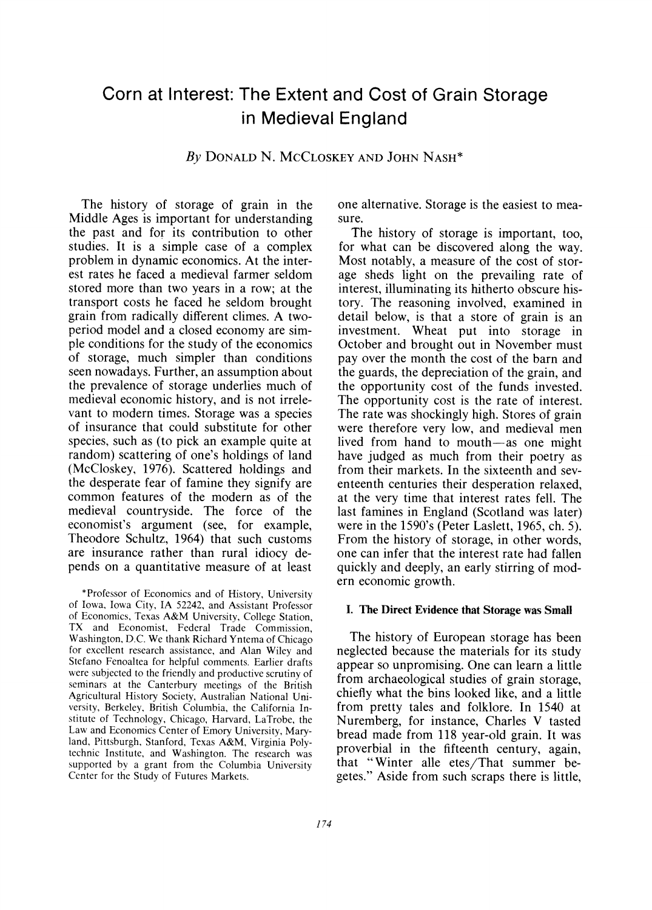# **Corn at Interest: The Extent and Cost of Grain Storage in Medieval England**

**By DONALD N. MCCLOSKEY AND JOHN NASH\*** 

**The history of storage of grain in the Middle Ages is important for understanding the past and for its contribution to other studies. It is a simple case of a complex problem in dynamic economics. At the interest rates he faced a medieval farmer seldom stored more than two years in a row; at the transport costs he faced he seldom brought grain from radically different climes. A twoperiod model and a closed economy are simple conditions for the study of the economics of storage, much simpler than conditions seen nowadays. Further, an assumption about the prevalence of storage underlies much of medieval economic history, and is not irrelevant to modern times. Storage was a species of insurance that could substitute for other species, such as (to pick an example quite at random) scattering of one's holdings of land (McCloskey, 1976). Scattered holdings and the desperate fear of famine they signify are common features of the modern as of the medieval countryside. The force of the economist's argument (see, for example, Theodore Schultz, 1964) that such customs are insurance rather than rural idiocy depends on a quantitative measure of at least** 

**\*Professor of Economics and of History, University of Iowa, Iowa City, IA 52242, and Assistant Professor of Economics, Texas A&M University, College Station, TX and Economist, Federal Trade Commission, Washington, D.C. We thank Richard Yntema of Chicago for excellent research assistance, and Alan Wiley and Stefano Fenoaltea for helpful comments. Earlier drafts were subjected to the friendly and productive scrutiny of seminars at the Canterbury meetings of the British Agricultural History Society, Australian National University, Berkeley, British Columbia, the California Institute of Technology, Chicago, Harvard, LaTrobe, the Law and Economics Center of Emory University, Maryland, Pittsburgh, Stanford, Texas A&M, Virginia Polytechnic Institute, and Washington. The research was supported by a grant from the Columbia University Center for the Study of Futures Markets.** 

**one alternative. Storage is the easiest to measure.** 

**The history of storage is important, too, for what can be discovered along the way. Most notably, a measure of the cost of storage sheds light on the prevailing rate of interest, illuminating its hitherto obscure history. The reasoning involved, examined in detail below, is that a store of grain is an investment. Wheat put into storage in October and brought out in November must pay over the month the cost of the barn and the guards, the depreciation of the grain, and the opportunity cost of the funds invested. The opportunity cost is the rate of interest. The rate was shockingly high. Stores of grain were therefore very low, and medieval men lived from hand to mouth-as one might have judged as much from their poetry as from their markets. In the sixteenth and seventeenth centuries their desperation relaxed, at the very time that interest rates fell. The last famines in England (Scotland was later) were in the 1590's (Peter Laslett, 1965, ch. 5). From the history of storage, in other words, one can infer that the interest rate had fallen quickly and deeply, an early stirring of modern economic growth.** 

#### **I. The Direct Evidence that Storage was Small**

**The history of European storage has been neglected because the materials for its study appear so unpromising. One can learn a little from archaeological studies of grain storage, chiefly what the bins looked like, and a little from pretty tales and folklore. In 1540 at Nuremberg, for instance, Charles V tasted bread made from 118 year-old grain. It was proverbial in the fifteenth century, again, that "Winter alle etes/That summer begetes." Aside from such scraps there is little,**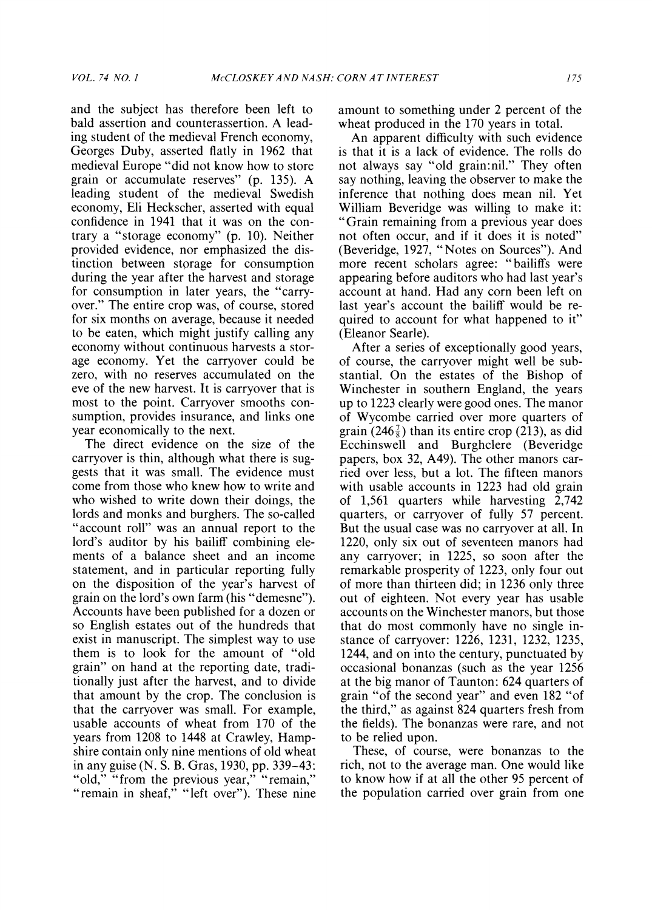**and the subject has therefore been left to bald assertion and counterassertion. A leading student of the medieval French economy, Georges Duby, asserted flatly in 1962 that medieval Europe "did not know how to store grain or accumulate reserves" (p. 135). A leading student of the medieval Swedish economy, Eli Heckscher, asserted with equal confidence in 1941 that it was on the contrary a "storage economy" (p. 10). Neither provided evidence, nor emphasized the distinction between storage for consumption during the year after the harvest and storage for consumption in later years, the "carryover." The entire crop was, of course, stored for six months on average, because it needed to be eaten, which might justify calling any economy without continuous harvests a storage economy. Yet the carryover could be zero, with no reserves accumulated on the eve of the new harvest. It is carryover that is most to the point. Carryover smooths consumption, provides insurance, and links one year economically to the next.** 

**The direct evidence on the size of the carryover is thin, although what there is suggests that it was small. The evidence must come from those who knew how to write and who wished to write down their doings, the lords and monks and burghers. The so-called "account roll" was an annual report to the lord's auditor by his bailiff combining elements of a balance sheet and an income statement, and in particular reporting fully on the disposition of the year's harvest of grain on the lord's own farm (his "demesne"). Accounts have been published for a dozen or so English estates out of the hundreds that exist in manuscript. The simplest way to use them is to look for the amount of "old grain" on hand at the reporting date, traditionally just after the harvest, and to divide that amount by the crop. The conclusion is that the carryover was small. For example, usable accounts of wheat from 170 of the years from 1208 to 1448 at Crawley, Hampshire contain only nine mentions of old wheat in any guise (N. S. B. Gras, 1930, pp. 339-43:**  "old," "from the previous year," "remain," **"remain in sheaf," "left over"). These nine**  **amount to something under 2 percent of the wheat produced in the 170 years in total.** 

**An apparent difficulty with such evidence is that it is a lack of evidence. The rolls do not always say "old grain:nil." They often say nothing, leaving the observer to make the inference that nothing does mean nil. Yet William Beveridge was willing to make it: "Grain remaining from a previous year does not often occur, and if it does it is noted" (Beveridge, 1927, "Notes on Sources"). And more recent scholars agree: "bailiffs were appearing before auditors who had last year's account at hand. Had any corn been left on last year's account the bailiff would be required to account for what happened to it" (Eleanor Searle).** 

**After a series of exceptionally good years, of course, the carryover might well be substantial. On the estates of the Bishop of Winchester in southern England, the years up to 1223 clearly were good ones. The manor of Wycombe carried over more quarters of**  grain (246 $\frac{7}{8}$ ) than its entire crop (213), as did **Ecchinswell and Burghclere (Beveridge papers, box 32, A49). The other manors carried over less, but a lot. The fifteen manors with usable accounts in 1223 had old grain of 1,561 quarters while harvesting 2,742 quarters, or carryover of fully 57 percent. But the usual case was no carryover at all. In 1220, only six out of seventeen manors had any carryover; in 1225, so soon after the remarkable prosperity of 1223, only four out of more than thirteen did; in 1236 only three out of eighteen. Not every year has usable accounts on the Winchester manors, but those that do most commonly have no single instance of carryover: 1226, 1231, 1232, 1235, 1244, and on into the century, punctuated by occasional bonanzas (such as the year 1256 at the big manor of Taunton: 624 quarters of grain "of the second year" and even 182 "of the third," as against 824 quarters fresh from the fields). The bonanzas were rare, and not to be relied upon.** 

**These, of course, were bonanzas to the rich, not to the average man. One would like to know how if at all the other 95 percent of the population carried over grain from one**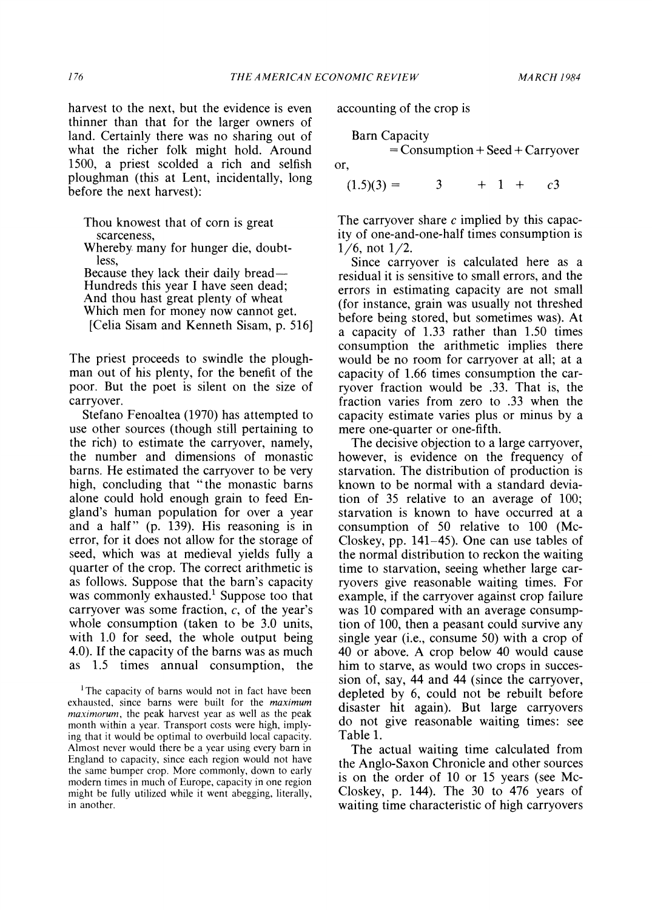**harvest to the next, but the evidence is even thinner than that for the larger owners of land. Certainly there was no sharing out of what the richer folk might hold. Around 1500, a priest scolded a rich and selfish ploughman (this at Lent, incidentally, long before the next harvest):** 

**Thou knowest that of corn is great scarceness,** 

**Whereby many for hunger die, doubtless,** 

**Because they lack their daily bread-Hundreds this year I have seen dead; And thou hast great plenty of wheat Which men for money now cannot get.** 

**[Celia Sisam and Kenneth Sisam, p. 516]** 

**The priest proceeds to swindle the ploughman out of his plenty, for the benefit of the poor. But the poet is silent on the size of carryover.** 

**Stefano Fenoaltea (1970) has attempted to use other sources (though still pertaining to the rich) to estimate the carryover, namely, the number and dimensions of monastic barns. He estimated the carryover to be very high, concluding that "the monastic barns alone could hold enough grain to feed England's human population for over a year and a half" (p. 139). His reasoning is in error, for it does not allow for the storage of seed, which was at medieval yields fully a quarter of the crop. The correct arithmetic is as follows. Suppose that the barn's capacity was commonly exhausted.1 Suppose too that carryover was some fraction, c, of the year's whole consumption (taken to be 3.0 units, with 1.0 for seed, the whole output being 4.0). If the capacity of the barns was as much as 1.5 times annual consumption, the** 

**accounting of the crop is** 

**Barn Capacity** 

**= Consumption + Seed + Carryover** 

**or,** 

$$
(1.5)(3) = 3 + 1 + c3
$$

**The carryover share c implied by this capacity of one-and-one-half times consumption is 1/6, not 1/2.** 

**Since carryover is calculated here as a residual it is sensitive to small errors, and the errors in estimating capacity are not small (for instance, grain was usually not threshed before being stored, but sometimes was). At a capacity of 1.33 rather than 1.50 times consumption the arithmetic implies there would be no room for carryover at all; at a capacity of 1.66 times consumption the carryover fraction would be .33. That is, the fraction varies from zero to .33 when the capacity estimate varies plus or minus by a mere one-quarter or one-fifth.** 

**The decisive objection to a large carryover, however, is evidence on the frequency of starvation. The distribution of production is known to be normal with a standard deviation of 35 relative to an average of 100; starvation is known to have occurred at a consumption of 50 relative to 100 (Mc-Closkey, pp. 141-45). One can use tables of the normal distribution to reckon the waiting time to starvation, seeing whether large carryovers give reasonable waiting times. For example, if the carryover against crop failure was 10 compared with an average consumption of 100, then a peasant could survive any single year (i.e., consume 50) with a crop of 40 or above. A crop below 40 would cause him to starve, as would two crops in succession of, say, 44 and 44 (since the carryover, depleted by 6, could not be rebuilt before disaster hit again). But large carryovers do not give reasonable waiting times: see Table 1.** 

**The actual waiting time calculated from the Anglo-Saxon Chronicle and other sources is on the order of 10 or 15 years (see Mc-Closkey, p. 144). The 30 to 476 years of waiting time characteristic of high carryovers** 

**<sup>&#</sup>x27;The capacity of barns would not in fact have been exhausted, since barns were built for the maximum maximorum, the peak harvest year as well as the peak month within a year. Transport costs were high, implying that it would be optimal to overbuild local capacity. Almost never would there be a year using every barn in England to capacity, since each region would not have the same bumper crop. More commonly, down to early modern times in much of Europe, capacity in one region might be fully utilized while it went abegging, literally, in another.**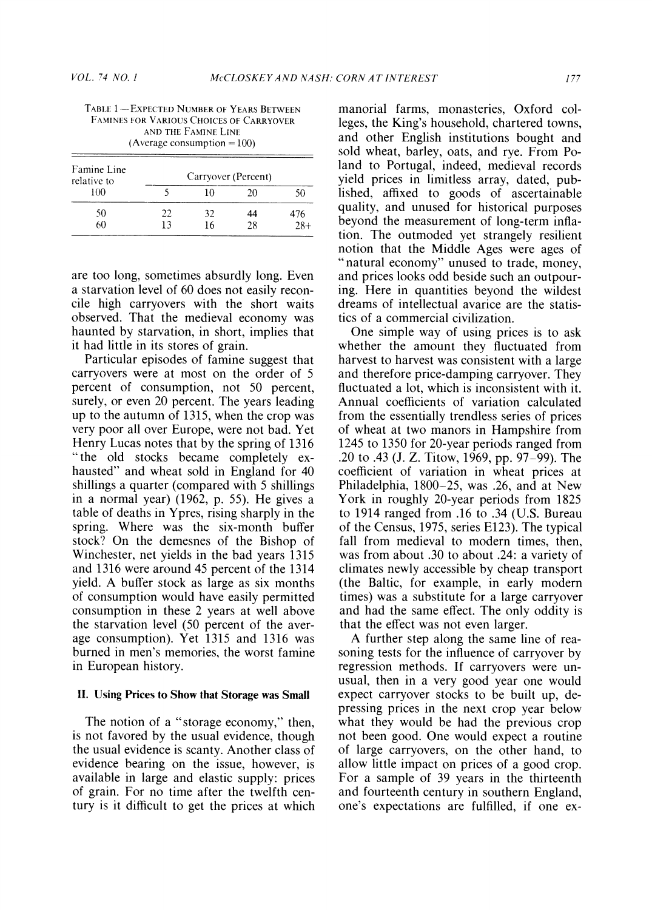| Famine Line<br>relative to | Carryover (Percent) |    |    |       |  |  |
|----------------------------|---------------------|----|----|-------|--|--|
| 100                        |                     | 10 | 20 | ٢Ω    |  |  |
| 50                         | 22                  | 32 | 44 | 476   |  |  |
| -60                        | 13                  | 16 | 28 | $28+$ |  |  |

**are too long, sometimes absurdly long. Even a starvation level of 60 does not easily reconcile high carryovers with the short waits observed. That the medieval economy was haunted by starvation, in short, implies that it had little in its stores of grain.** 

**Particular episodes of famine suggest that carryovers were at most on the order of 5 percent of consumption, not 50 percent, surely, or even 20 percent. The years leading up to the autumn of 1315, when the crop was very poor all over Europe, were not bad. Yet Henry Lucas notes that by the spring of 1316**  "the old stocks became completely ex**hausted" and wheat sold in England for 40 shillings a quarter (compared with 5 shillings in a normal year) (1962, p. 55). He gives a table of deaths in Ypres, rising sharply in the spring. Where was the six-month buffer stock? On the demesnes of the Bishop of Winchester, net yields in the bad years 1315 and 1316 were around 45 percent of the 1314 yield. A buffer stock as large as six months of consumption would have easily permitted consumption in these 2 years at well above the starvation level (50 percent of the average consumption). Yet 1315 and 1316 was burned in men's memories, the worst famine in European history.** 

#### **II. Using Prices to Show that Storage was Small**

**The notion of a "storage economy," then, is not favored by the usual evidence, though the usual evidence is scanty. Another class of evidence bearing on the issue, however, is available in large and elastic supply: prices of grain. For no time after the twelfth century is it difficult to get the prices at which** 

**manorial farms, monasteries, Oxford colleges, the King's household, chartered towns, and other English institutions bought and sold wheat, barley, oats, and rye. From Poland to Portugal, indeed, medieval records yield prices in limitless array, dated, published, affixed to goods of ascertainable quality, and unused for historical purposes beyond the measurement of long-term inflation. The outmoded yet strangely resilient notion that the Middle Ages were ages of "natural economy" unused to trade, money, and prices looks odd beside such an outpouring. Here in quantities beyond the wildest dreams of intellectual avarice are the statistics of a commercial civilization.** 

**One simple way of using prices is to ask whether the amount they fluctuated from harvest to harvest was consistent with a large and therefore price-damping carryover. They fluctuated a lot, which is inconsistent with it. Annual coefficients of variation calculated from the essentially trendless series of prices of wheat at two manors in Hampshire from 1245 to 1350 for 20-year periods ranged from .20 to .43 (J. Z. Titow, 1969, pp. 97-99). The coefficient of variation in wheat prices at Philadelphia, 1800-25, was .26, and at New York in roughly 20-year periods from 1825 to 1914 ranged from .16 to .34 (U.S. Bureau of the Census, 1975, series E123). The typical fall from medieval to modern times, then, was from about .30 to about .24: a variety of climates newly accessible by cheap transport (the Baltic, for example, in early modern times) was a substitute for a large carryover and had the same effect. The only oddity is that the effect was not even larger.** 

**A further step along the same line of reasoning tests for the influence of carryover by regression methods. If carryovers were unusual, then in a very good year one would expect carryover stocks to be built up, depressing prices in the next crop year below what they would be had the previous crop not been good. One would expect a routine of large carryovers, on the other hand, to allow little impact on prices of a good crop. For a sample of 39 years in the thirteenth and fourteenth century in southern England, one's expectations are fulfilled, if one ex-**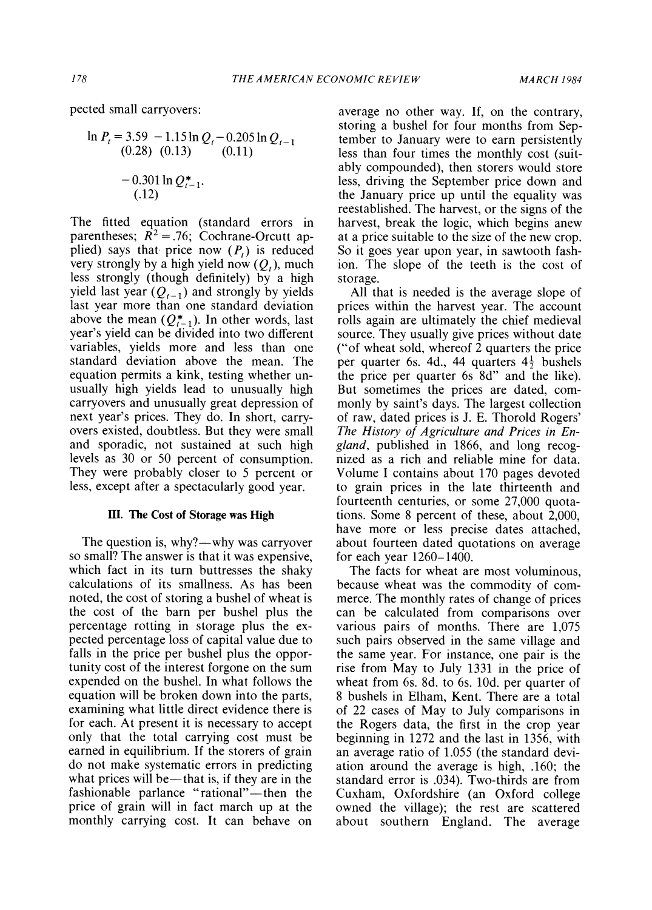**pected small carryovers:** 

$$
\ln P_t = 3.59 - 1.15 \ln Q_t - 0.205 \ln Q_{t-1}
$$
  
(0.28) (0.13) (0.11)  

$$
- 0.301 \ln Q_{t-1}^*.
$$
  
(.12)

**The fitted equation (standard errors in**  parentheses;  $\overline{R}^2 = .76$ ; Cochrane-Orcutt applied) says that price now  $(P_t)$  is reduced **very strongly by a high yield now**  $(Q_t)$ **, much less strongly (though definitely) by a high**  yield last year  $(Q_{t-1})$  and strongly by yields **last year more than one standard deviation**  above the mean  $(Q_{t-1}^*)$ . In other words, last **year's yield can be divided into two different variables, yields more and less than one standard deviation above the mean. The equation permits a kink, testing whether unusually high yields lead to unusually high carryovers and unusually great depression of next year's prices. They do. In short, carryovers existed, doubtless. But they were small and sporadic, not sustained at such high levels as 30 or 50 percent of consumption. They were probably closer to 5 percent or less, except after a spectacularly good year.** 

#### **III. The Cost of Storage was High**

The question is, why?—why was carryover **so small? The answer is that it was expensive, which fact in its turn buttresses the shaky calculations of its smallness. As has been noted, the cost of storing a bushel of wheat is the cost of the barn per bushel plus the percentage rotting in storage plus the expected percentage loss of capital value due to falls in the price per bushel plus the opportunity cost of the interest forgone on the sum expended on the bushel. In what follows the equation will be broken down into the parts, examining what little direct evidence there is for each. At present it is necessary to accept only that the total carrying cost must be earned in equilibrium. If the storers of grain do not make systematic errors in predicting**  what prices will be—that is, if they are in the fashionable parlance "rational"—then the **price of grain will in fact march up at the monthly carrying cost. It can behave on** 

**average no other way. If, on the contrary, storing a bushel for four months from September to January were to earn persistently less than four times the monthly cost (suitably compounded), then storers would store less, driving the September price down and the January price up until the equality was reestablished. The harvest, or the signs of the harvest, break the logic, which begins anew at a price suitable to the size of the new crop. So it goes year upon year, in sawtooth fashion. The slope of the teeth is the cost of storage.** 

**All that is needed is the average slope of prices within the harvest year. The account rolls again are ultimately the chief medieval source. They usually give prices without date ("of wheat sold, whereof 2 quarters the price**  per quarter 6s. 4d., 44 quarters  $4\frac{1}{2}$  bushels **the price per quarter 6s 8d" and the like). But sometimes the prices are dated, commonly by saint's days. The largest collection of raw, dated prices is J. E. Thorold Rogers' The History of Agriculture and Prices in England, published in 1866, and long recognized as a rich and reliable mine for data. Volume I contains about 170 pages devoted to grain prices in the late thirteenth and fourteenth centuries, or some 27,000 quotations. Some 8 percent of these, about 2,000, have more or less precise dates attached, about fourteen dated quotations on average for each year 1260-1400.** 

**The facts for wheat are most voluminous, because wheat was the commodity of commerce. The monthly rates of change of prices can be calculated from comparisons over various pairs of months. There are 1,075 such pairs observed in the same village and the same year. For instance, one pair is the rise from May to July 1331 in the price of wheat from 6s. 8d. to 6s. 10d. per quarter of 8 bushels in Elham, Kent. There are a total of 22 cases of May to July comparisons in the Rogers data, the first in the crop year beginning in 1272 and the last in 1356, with an average ratio of 1.055 (the standard deviation around the average is high, .160; the standard error is .034). Two-thirds are from Cuxham, Oxfordshire (an Oxford college owned the village); the rest are scattered about southern England. The average**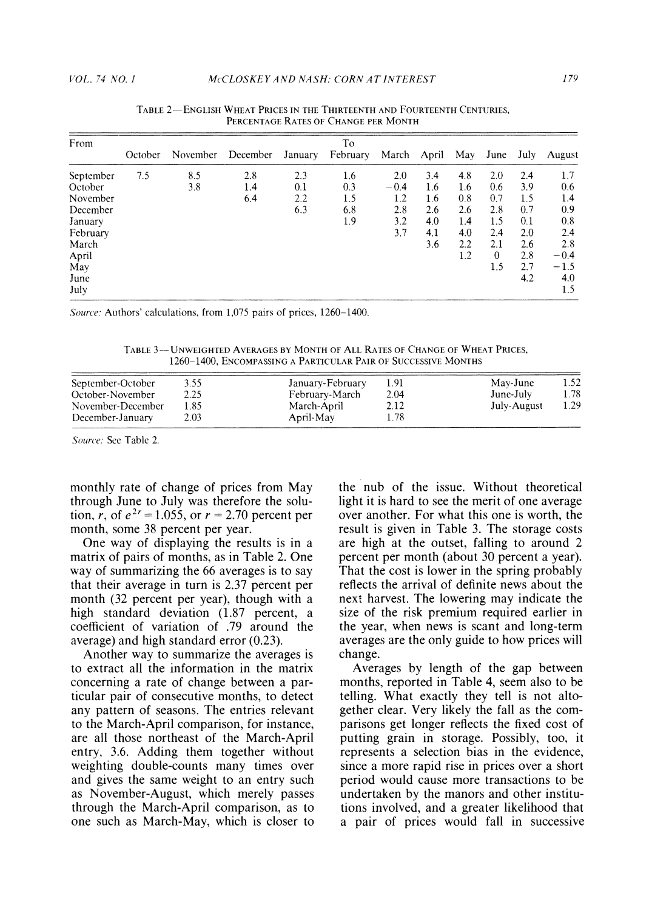| From                                                                         |         |            |                   |                          | To                              |                                           |                                               |                                               |                                               |                                               |                                               |
|------------------------------------------------------------------------------|---------|------------|-------------------|--------------------------|---------------------------------|-------------------------------------------|-----------------------------------------------|-----------------------------------------------|-----------------------------------------------|-----------------------------------------------|-----------------------------------------------|
|                                                                              | October | November   | December          | January                  | February                        | March                                     | April                                         | May                                           | June                                          | July                                          | August                                        |
| September<br>October<br>November<br>December<br>January<br>February<br>March | 7.5     | 8.5<br>3.8 | 2.8<br>1.4<br>6.4 | 2.3<br>0.1<br>2.2<br>6.3 | 1.6<br>0.3<br>1.5<br>6.8<br>1.9 | 2.0<br>$-0.4$<br>1.2<br>2.8<br>3.2<br>3.7 | 3.4<br>1.6<br>1.6<br>2.6<br>4.0<br>4.1<br>3.6 | 4.8<br>1.6<br>0.8<br>2.6<br>1.4<br>4.0<br>2.2 | 2.0<br>0.6<br>0.7<br>2.8<br>1.5<br>2,4<br>2.1 | 2.4<br>3.9<br>1.5<br>0.7<br>0.1<br>2.0<br>2.6 | 1.7<br>0.6<br>1.4<br>0.9<br>0.8<br>2.4<br>2.8 |
| April<br>May<br>June<br>July                                                 |         |            |                   |                          |                                 |                                           |                                               | 1.2                                           | $\theta$<br>1.5                               | 2.8<br>2.7<br>4.2                             | $-0.4$<br>$-1.5$<br>4.0<br>1.5                |

**TABLE 2-ENGLISH WHEAT PRICES IN THE THIRTEENTH AND FOURTEENTH CENTURIES, PERCENTAGE RATES OF CHANGE PER MONTH** 

**Source: Authors' calculations, from 1,075 pairs of prices, 1260-1400.** 

**TABLE 3- UNWEIGHTED AVERAGES BY MONTH OF ALL RATES OF CHANGE OF WHEAT PRICES, 1260-1400, ENCOMPASSING A PARTICULAR PAIR OF SUCCESSIVE MONTHS** 

| September-October<br>October-November | 3.55<br>2.25 | January-February              | 1.91<br>2.04 | May-June<br>June-July | 1.52<br>1.78 |
|---------------------------------------|--------------|-------------------------------|--------------|-----------------------|--------------|
| November-December                     | l.85         | February-March<br>March-April | 2.12         | July-August           | 1.29         |
| December-January                      | 2.03         | April-May                     | .78          |                       |              |

**Source: See Table 2.** 

**monthly rate of change of prices from May through June to July was therefore the solution, r, of**  $e^{2r} = 1.055$ , or  $r = 2.70$  percent per **month, some 38 percent per year.** 

**One way of displaying the results is in a matrix of pairs of months, as in Table 2. One way of summarizing the 66 averages is to say that their average in turn is 2.37 percent per month (32 percent per year), though with a high standard deviation (1.87 percent, a coefficient of variation of .79 around the average) and high standard error (0.23).** 

**Another way to summarize the averages is to extract all the information in the matrix concerning a rate of change between a particular pair of consecutive months, to detect any pattern of seasons. The entries relevant to the March-April comparison, for instance, are all those northeast of the March-April entry, 3.6. Adding them together without weighting double-counts many times over and gives the same weight to an entry such as November-August, which merely passes through the March-April comparison, as to one such as March-May, which is closer to**  **the nub of the issue. Without theoretical light it is hard to see the merit of one average over another. For what this one is worth, the result is given in Table 3. The storage costs are high at the outset, falling to around 2 percent per month (about 30 percent a year). That the cost is lower in the spring probably reflects the arrival of definite news about the next harvest. The lowering may indicate the size of the risk premium required earlier in the year, when news is scant and long-term averages are the only guide to how prices will change.** 

**Averages by length of the gap between months, reported in Table 4, seem also to be telling. What exactly they tell is not altogether clear. Very likely the fall as the comparisons get longer reflects the fixed cost of putting grain in storage. Possibly, too, it represents a selection bias in the evidence, since a more rapid rise in prices over a short period would cause more transactions to be undertaken by the manors and other institutions involved, and a greater likelihood that a pair of prices would fall in successive**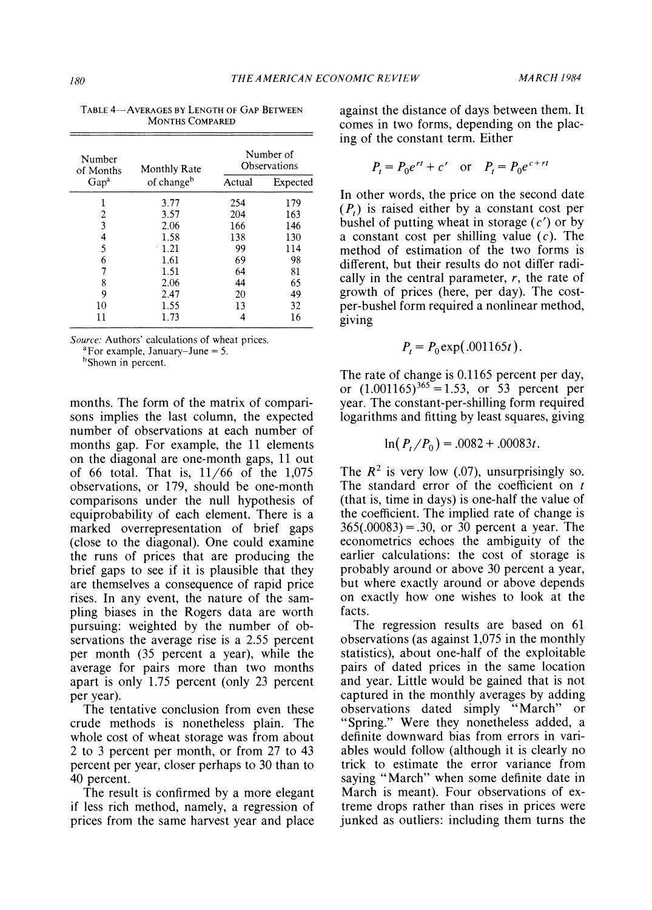| Number<br>of Months | <b>Monthly Rate</b>    | Number of<br><b>Observations</b> |          |  |  |
|---------------------|------------------------|----------------------------------|----------|--|--|
| Gap <sup>a</sup>    | of change <sup>b</sup> | Actual                           | Expected |  |  |
| 1                   | 3.77                   | 254                              | 179      |  |  |
| 2                   | 3.57                   | 204                              | 163      |  |  |
| 3                   | 2.06                   | 166                              | 146      |  |  |
| 4                   | 1.58                   | 138                              | 130      |  |  |
| 5                   | $\cdot$ 1.21           | 99                               | 114      |  |  |
| 6                   | 1.61                   | 69                               | 98       |  |  |
| 7                   | 1.51                   | 64                               | 81       |  |  |
| 8                   | 2.06                   | 44                               | 65       |  |  |
| 9                   | 2.47                   | 20                               | 49       |  |  |
| 10                  | 1.55                   | 13                               | 32       |  |  |
| 11                  | 1.73                   |                                  | 16       |  |  |

**TABLE 4-AVERAGES BY LENGTH OF GAP BETWEEN MONTHS COMPARED** 

**Source: Authors' calculations of wheat prices.** 

**aFor example, January-June = 5.** 

**bShown in percent.** 

**months. The form of the matrix of comparisons implies the last column, the expected number of observations at each number of months gap. For example, the 11 elements on the diagonal are one-month gaps, 11 out of 66 total. That is, 11/66 of the 1,075 observations, or 179, should be one-month comparisons under the null hypothesis of equiprobability of each element. There is a marked overrepresentation of brief gaps (close to the diagonal). One could examine the runs of prices that are producing the brief gaps to see if it is plausible that they are themselves a consequence of rapid price rises. In any event, the nature of the sampling biases in the Rogers data are worth pursuing: weighted by the number of observations the average rise is a 2.55 percent per month (35 percent a year), while the average for pairs more than two months apart is only 1.75 percent (only 23 percent per year).** 

**The tentative conclusion from even these crude methods is nonetheless plain. The whole cost of wheat storage was from about 2 to 3 percent per month, or from 27 to 43 percent per year, closer perhaps to 30 than to 40 percent.** 

**The result is confirmed by a more elegant if less rich method, namely, a regression of prices from the same harvest year and place**  **against the distance of days between them. It comes in two forms, depending on the placing of the constant term. Either** 

$$
P_t = P_0 e^{rt} + c' \quad \text{or} \quad P_t = P_0 e^{c+rt}
$$

**In other words, the price on the second date**   $(P<sub>i</sub>)$  is raised either by a constant cost per **bushel of putting wheat in storage (c') or by a constant cost per shilling value (c). The method of estimation of the two forms is different, but their results do not differ radically in the central parameter, r, the rate of growth of prices (here, per day). The costper-bushel form required a nonlinear method, giving** 

$$
P_t = P_0 \exp(.001165t).
$$

**The rate of change is 0.1165 percent per day,**  or  $(1.001165)^{365} = 1.53$ , or 53 percent per **year. The constant-per-shilling form required logarithms and fitting by least squares, giving** 

$$
\ln(P_t/P_0) = .0082 + .00083t.
$$

The  $R^2$  is very low  $(.07)$ , unsurprisingly so. **The standard error of the coefficient on t (that is, time in days) is one-half the value of the coefficient. The implied rate of change is 365(.00083) =.30, or 30 percent a year. The econometrics echoes the ambiguity of the earlier calculations: the cost of storage is probably around or above 30 percent a year, but where exactly around or above depends on exactly how one wishes to look at the facts.** 

**The regression results are based on 61 observations (as against 1,075 in the monthly statistics), about one-half of the exploitable pairs of dated prices in the same location and year. Little would be gained that is not captured in the monthly averages by adding observations dated simply "March" or "Spring." Were they nonetheless added, a definite downward bias from errors in variables would follow (although it is clearly no trick to estimate the error variance from saying "March" when some definite date in March is meant). Four observations of extreme drops rather than rises in prices were junked as outliers: including them turns the**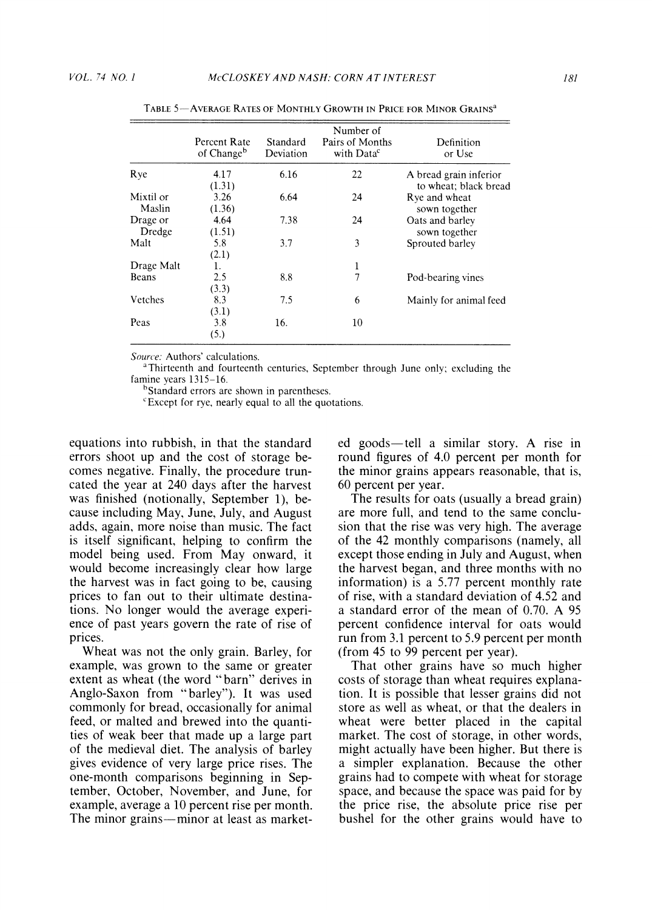|                     | Percent Rate<br>of Change <sup>b</sup> | Standard<br>Deviation | Number of<br>Pairs of Months<br>with Data <sup>c</sup> | Definition<br>or Use                            |
|---------------------|----------------------------------------|-----------------------|--------------------------------------------------------|-------------------------------------------------|
| Rye                 | 4.17<br>(1.31)                         | 6.16                  | 22                                                     | A bread grain inferior<br>to wheat; black bread |
| Mixtil or<br>Maslin | 3.26<br>(1.36)                         | 6.64                  | 24                                                     | Rye and wheat<br>sown together                  |
| Drage or<br>Dredge  | 4.64<br>(1.51)                         | 7.38                  | 24                                                     | Oats and barley<br>sown together                |
| Malt                | 5.8<br>(2.1)                           | 3.7                   | 3                                                      | Sprouted barley                                 |
| Drage Malt          | 1.                                     |                       | 1                                                      |                                                 |
| Beans               | 2.5<br>(3.3)                           | 8.8                   | 7                                                      | Pod-bearing vines                               |
| Vetches             | 8.3<br>(3.1)                           | 7.5                   | 6                                                      | Mainly for animal feed                          |
| Peas                | 3.8<br>(5.)                            | 16.                   | 10                                                     |                                                 |

TABLE 5-AVERAGE RATES OF MONTHLY GROWTH IN PRICE FOR MINOR GRAINS<sup>a</sup>

**Source: Authors' calculations.** 

**aThirteenth and fourteenth centuries, September through June only; excluding the famine years 1315-16.** 

**bStandard errors are shown in parentheses.** 

**'Except for rye, nearly equal to all the quotations.** 

**equations into rubbish, in that the standard errors shoot up and the cost of storage becomes negative. Finally, the procedure truncated the year at 240 days after the harvest was finished (notionally, September 1), because including May, June, July, and August adds, again, more noise than music. The fact is itself significant, helping to confirm the model being used. From May onward, it would become increasingly clear how large the harvest was in fact going to be, causing prices to fan out to their ultimate destinations. No longer would the average experience of past years govern the rate of rise of prices.** 

**Wheat was not the only grain. Barley, for example, was grown to the same or greater extent as wheat (the word "barn" derives in Anglo-Saxon from "barley"). It was used commonly for bread, occasionally for animal feed, or malted and brewed into the quantities of weak beer that made up a large part of the medieval diet. The analysis of barley gives evidence of very large price rises. The one-month comparisons beginning in September, October, November, and June, for example, average a 10 percent rise per month.**  The minor grains—minor at least as market**ed goods-tell a similar story. A rise in round figures of 4.0 percent per month for the minor grains appears reasonable, that is, 60 percent per year.** 

**The results for oats (usually a bread grain) are more full, and tend to the same conclusion that the rise was very high. The average of the 42 monthly comparisons (namely, all except those ending in July and August, when the harvest began, and three months with no information) is a 5.77 percent monthly rate of rise, with a standard deviation of 4.52 and a standard error of the mean of 0.70. A 95 percent confidence interval for oats would run from 3.1 percent to 5.9 percent per month (from 45 to 99 percent per year).** 

**That other grains have so much higher costs of storage than wheat requires explanation. It is possible that lesser grains did not store as well as wheat, or that the dealers in wheat were better placed in the capital market. The cost of storage, in other words, might actually have been higher. But there is a simpler explanation. Because the other grains had to compete with wheat for storage space, and because the space was paid for by the price rise, the absolute price rise per bushel for the other grains would have to**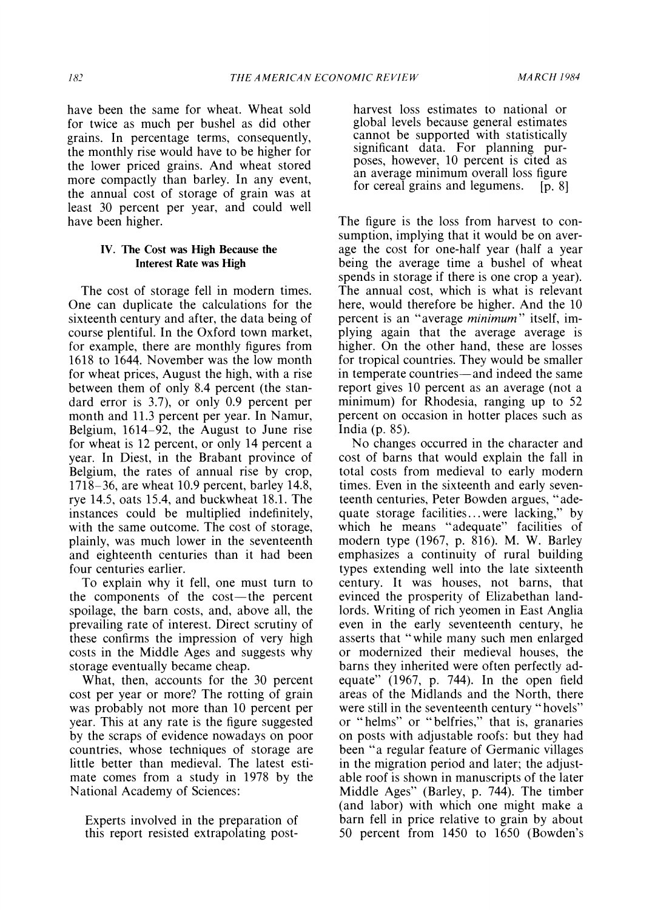**have been the same for wheat. Wheat sold for twice as much per bushel as did other grains. In percentage terms, consequently, the monthly rise would have to be higher for the lower priced grains. And wheat stored more compactly than barley. In any event, the annual cost of storage of grain was at least 30 percent per year, and could well have been higher.** 

## **IV. The Cost was High Because the Interest Rate was High**

**The cost of storage fell in modern times. One can duplicate the calculations for the sixteenth century and after, the data being of course plentiful. In the Oxford town market, for example, there are monthly figures from 1618 to 1644. November was the low month for wheat prices, August the high, with a rise between them of only 8.4 percent (the standard error is 3.7), or only 0.9 percent per month and 11.3 percent per year. In Namur, Belgium, 1614-92, the August to June rise for wheat is 12 percent, or only 14 percent a year. In Diest, in the Brabant province of Belgium, the rates of annual rise by crop, 1718-36, are wheat 10.9 percent, barley 14.8, rye 14.5, oats 15.4, and buckwheat 18.1. The instances could be multiplied indefinitely, with the same outcome. The cost of storage, plainly, was much lower in the seventeenth and eighteenth centuries than it had been four centuries earlier.** 

**To explain why it fell, one must turn to the components of the cost-the percent spoilage, the barn costs, and, above all, the prevailing rate of interest. Direct scrutiny of these confirms the impression of very high costs in the Middle Ages and suggests why storage eventually became cheap.** 

**What, then, accounts for the 30 percent cost per year or more? The rotting of grain was probably not more than 10 percent per year. This at any rate is the figure suggested by the scraps of evidence nowadays on poor countries, whose techniques of storage are little better than medieval. The latest estimate comes from a study in 1978 by the National Academy of Sciences:** 

**Experts involved in the preparation of this report resisted extrapolating post-** **harvest loss estimates to national or global levels because general estimates cannot be supported with statistically significant data. For planning purposes, however, 10 percent is cited as an average minimum overall loss figure for cereal grains and legumens. [p. 8]** 

**The figure is the loss from harvest to consumption, implying that it would be on average the cost for one-half year (half a year being the average time a bushel of wheat spends in storage if there is one crop a year). The annual cost, which is what is relevant here, would therefore be higher. And the 10 percent is an "average minimum" itself, implying again that the average average is higher. On the other hand, these are losses for tropical countries. They would be smaller in temperate countries- and indeed the same report gives 10 percent as an average (not a minimum) for Rhodesia, ranging up to 52 percent on occasion in hotter places such as India (p. 85).** 

**No changes occurred in the character and cost of barns that would explain the fall in total costs from medieval to early modern times. Even in the sixteenth and early seventeenth centuries, Peter Bowden argues, "adequate storage facilities... were lacking," by which he means "adequate" facilities of modern type (1967, p. 816). M. W. Barley emphasizes a continuity of rural building types extending well into the late sixteenth century. It was houses, not barns, that evinced the prosperity of Elizabethan landlords. Writing of rich yeomen in East Anglia even in the early seventeenth century, he asserts that "while many such men enlarged or modernized their medieval houses, the barns they inherited were often perfectly adequate" (1967, p. 744). In the open field areas of the Midlands and the North, there were still in the seventeenth century "hovels" or "helms" or "belfries," that is, granaries on posts with adjustable roofs: but they had been "a regular feature of Germanic villages in the migration period and later; the adjustable roof is shown in manuscripts of the later Middle Ages" (Barley, p. 744). The timber (and labor) with which one might make a barn fell in price relative to grain by about 50 percent from 1450 to 1650 (Bowden's**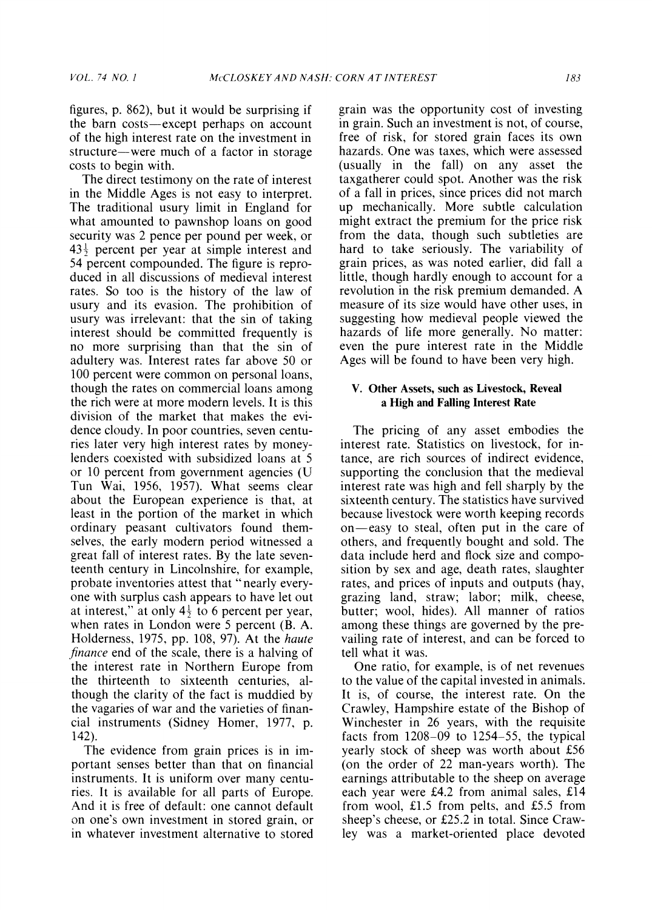**figures, p. 862), but it would be surprising if the barn costs-except perhaps on account of the high interest rate on the investment in structure-were much of a factor in storage costs to begin with.** 

**The direct testimony on the rate of interest in the Middle Ages is not easy to interpret. The traditional usury limit in England for what amounted to pawnshop loans on good security was 2 pence per pound per week, or 431 percent per year at simple interest and 54 percent compounded. The figure is reproduced in all discussions of medieval interest rates. So too is the history of the law of usury and its evasion. The prohibition of usury was irrelevant: that the sin of taking interest should be committed frequently is no more surprising than that the sin of adultery was. Interest rates far above 50 or 100 percent were common on personal loans, though the rates on commercial loans among the rich were at more modern levels. It is this division of the market that makes the evidence cloudy. In poor countries, seven centuries later very high interest rates by moneylenders coexisted with subsidized loans at 5 or 10 percent from government agencies (U Tun Wai, 1956, 1957). What seems clear about the European experience is that, at least in the portion of the market in which ordinary peasant cultivators found themselves, the early modern period witnessed a great fall of interest rates. By the late seventeenth century in Lincolnshire, for example, probate inventories attest that "nearly everyone with surplus cash appears to have let out**  at interest," at only  $4\frac{1}{2}$  to 6 percent per year, **when rates in London were 5 percent (B. A. Holderness, 1975, pp. 108, 97). At the haute finance end of the scale, there is a halving of the interest rate in Northern Europe from the thirteenth to sixteenth centuries, although the clarity of the fact is muddied by the vagaries of war and the varieties of financial instruments (Sidney Homer, 1977, p. 142).** 

**The evidence from grain prices is in important senses better than that on financial instruments. It is uniform over many centuries. It is available for all parts of Europe. And it is free of default: one cannot default on one's own investment in stored grain, or in whatever investment alternative to stored**  **grain was the opportunity cost of investing in grain. Such an investment is not, of course, free of risk, for stored grain faces its own hazards. One was taxes, which were assessed (usually in the fall) on any asset the taxgatherer could spot. Another was the risk of a fall in prices, since prices did not march up mechanically. More subtle calculation might extract the premium for the price risk from the data, though such subtleties are hard to take seriously. The variability of grain prices, as was noted earlier, did fall a little, though hardly enough to account for a revolution in the risk premium demanded. A measure of its size would have other uses, in suggesting how medieval people viewed the hazards of life more generally. No matter: even the pure interest rate in the Middle Ages will be found to have been very high.** 

# **V. Other Assets, such as Livestock, Reveal a High and Falling Interest Rate**

**The pricing of any asset embodies the interest rate. Statistics on livestock, for intance, are rich sources of indirect evidence, supporting the conclusion that the medieval interest rate was high and fell sharply by the sixteenth century. The statistics have survived because livestock were worth keeping records on-easy to steal, often put in the care of others, and frequently bought and sold. The data include herd and flock size and composition by sex and age, death rates, slaughter rates, and prices of inputs and outputs (hay, grazing land, straw; labor; milk, cheese, butter; wool, hides). All manner of ratios among these things are governed by the prevailing rate of interest, and can be forced to tell what it was.** 

**One ratio, for example, is of net revenues to the value of the capital invested in animals. It is, of course, the interest rate. On the Crawley, Hampshire estate of the Bishop of Winchester in 26 years, with the requisite facts from 1208-09 to 1254-55, the typical yearly stock of sheep was worth about £56 (on the order of 22 man-years worth). The earnings attributable to the sheep on average each year were £4.2 from animal sales, £14 from wool, £1.5 from pelts, and £5.5 from sheep's cheese, or £25.2 in total. Since Crawley was a market-oriented place devoted**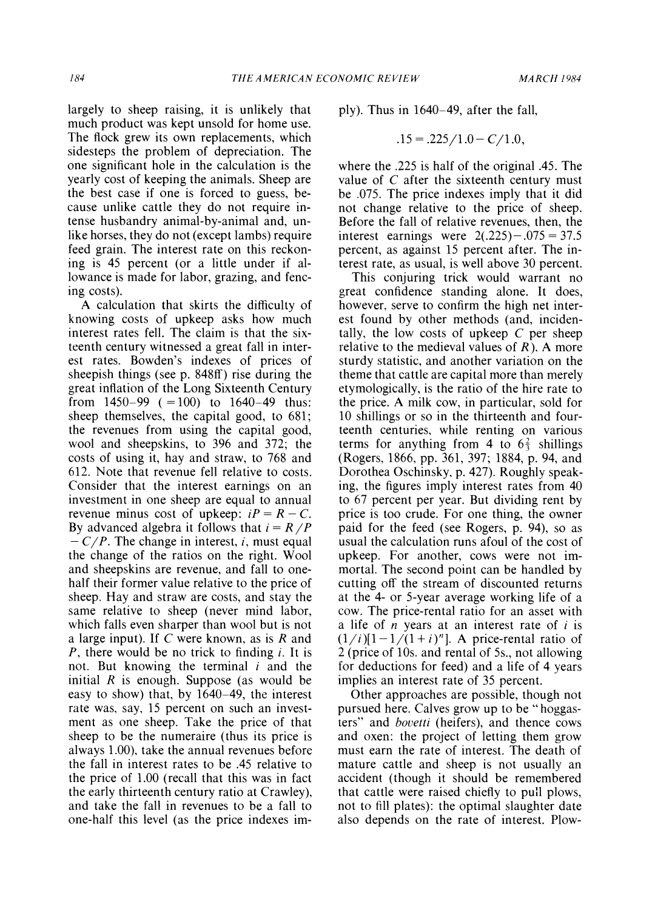**largely to sheep raising, it is unlikely that much product was kept unsold for home use. The flock grew its own replacements, which sidesteps the problem of depreciation. The one significant hole in the calculation is the yearly cost of keeping the animals. Sheep are the best case if one is forced to guess, because unlike cattle they do not require intense husbandry animal-by-animal and, unlike horses, they do not (except lambs) require feed grain. The interest rate on this reckoning is 45 percent (or a little under if allowance is made for labor, grazing, and fencing costs).** 

**A calculation that skirts the difficulty of knowing costs of upkeep asks how much interest rates fell. The claim is that the sixteenth century witnessed a great fall in interest rates. Bowden"s indexes of prices of sheepish things (see p. 848ff) rise during the great inflation of the Long Sixteenth Century from 1450-99 (=100) to 1640-49 thus: sheep themselves, the capital good, to 681; the revenues from using the capital good, wool and sheepskins, to 396 and 372; the costs of using it, hay and straw, to 768 and 612. Note that revenue fell relative to costs. Consider that the interest earnings on an investment in one sheep are equal to annual revenue minus cost of upkeep:**  $iP = R - C$ **.** By advanced algebra it follows that  $i = R/P$ **- C/P. The change in interest, i, must equal the change of the ratios on the right. Wool and sheepskins are revenue, and fall to onehalf their former value relative to the price of sheep. Hay and straw are costs, and stay the same relative to sheep (never mind labor, which falls even sharper than wool but is not a large input). If C were known, as is R and P, there would be no trick to finding i. It is not. But knowing the terminal i and the initial R is enough. Suppose (as would be easy to show) that, by 1640-49, the interest rate was, say, 15 percent on such an investment as one sheep. Take the price of that sheep to be the numeraire (thus its price is always 1.00), take the annual revenues before the fall in interest rates to be .45 relative to the price of 1.00 (recall that this was in fact the early thirteenth century ratio at Crawley), and take the fall in revenues to be a fall to one-half this level (as the price indexes im-** **ply). Thus in 1640-49, after the fall,** 

$$
.15 = .225 / 1.0 - C / 1.0,
$$

**where the .225 is half of the original .45. The value of C after the sixteenth century must be .075. The price indexes imply that it did not change relative to the price of sheep. Before the fall of relative revenues, then, the interest earnings were 2(.225)-.075 = 37.5 percent, as against 15 percent after. The interest rate, as usual, is well above 30 percent.** 

**This conjuring trick would warrant no great confidence standing alone. It does, however, serve to confirm the high net interest found by other methods (and, incidentally, the low costs of upkeep C per sheep relative to the medieval values of R). A more sturdy statistic, and another variation on the theme that cattle are capital more than merely etymologically, is the ratio of the hire rate to the price. A milk cow, in particular, sold for 10 shillings or so in the thirteenth and fourteenth centuries, while renting on various**  terms for anything from 4 to  $6\frac{2}{3}$  shillings **(Rogers, 1866, pp. 361, 397; 1884, p. 94, and Dorothea Oschinsky, p. 427). Roughlv speaking, the figures imply interest rates from 40 to 67 percent per year. But dividing rent by price is too crude. For one thing, the owner paid for the feed (see Rogers, p. 94), so as usual the calculation runs afoul of the cost of upkeep. For another, cows were not immortal. The second point can be handled by cutting off the stream of discounted returns at the 4- or 5-year average working life of a cow. The price-rental ratio for an asset with a life of n years at an interest rate of i is**   $(1/i)[1 - 1/(1+i)^n]$ . A price-rental ratio of **2 (price of 10s. and rental of 5s., not allowing for deductions for feed) and a life of 4 years implies an interest rate of 35 percent.** 

**Other approaches are possible, though not pursued here. Calves grow up to be "' hoggaslers" and bovetti (heifers), and thence cows and oxen: the project of letting them grow must earn the rate of interest. The death of mature cattle and sheep is not usually an accident (though it should be remembered that cattle were raised chiefly to pull plows, not to fill plates): the optimal slaughter date also depends on the rate of interest. Plow-**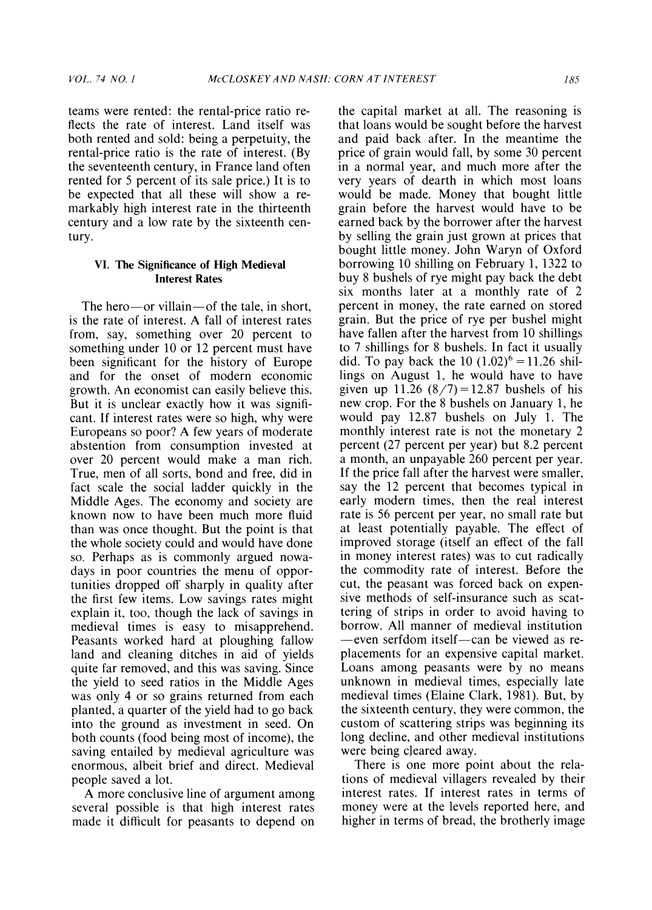**teams were rented: the rental-price ratio reflects the rate of interest. Land itself was both rented and sold: being a perpetuity, the rental-price ratio is the rate of interest. (By the seventeenth century, in France land often rented for 5 percent of its sale price.) It is to be expected that all these will show a remarkably high interest rate in the thirteenth century and a low rate by the sixteenth century.** 

### **VI. The Significance of High Medieval Interest Rates**

The hero—or villain—of the tale, in short, **is the rate of interest. A fall of interest rates from, say, something over 20 percent to something under 10 or 12 percent must have been significant for the history of Europe and for the onset of modern economic growth. An economist can easily believe this. But it is unclear exactly how it was significant. If interest rates were so high, why were Europeans so poor? A few years of moderate abstention from consumption invested at over 20 percent would make a man rich. True, men of all sorts, bond and free, did in fact scale the social ladder quickly in the Middle Ages. The economy and society are known now to have been much more fluid than was once thought. But the point is that the whole society could and would have done so. Perhaps as is commonly argued nowadays in poor countries the menu of opportunities dropped off sharply in quality after the first few items. Low savings rates might explain it, too, though the lack of savings in medieval times is easy to misapprehend. Peasants worked hard at ploughing fallow land and cleaning ditches in aid of yields quite far removed, and this was saving. Since the yield to seed ratios in the Middle Ages was only 4 or so grains returned from each planted, a quarter of the yield had to go back into the ground as investment in seed. On both counts (food being most of income), the saving entailed by medieval agriculture was enormous, albeit brief and direct. Medieval people saved a lot.** 

**A more conclusive line of argument among several possible is that high interest rates made it difficult for peasants to depend on** 

**the capital market at all. The reasoning is that loans would be sought before the harvest and paid back after. In the meantime the price of grain would fall, by some 30 percent in a normal year, and much more after the very years of dearth in which most loans would be made. Money that bought little grain before the harvest would have to be earned back by the borrower after the harvest by selling the grain just grown at prices that bought little money. John Waryn of Oxford borrowing 10 shilling on February 1, 1322 to buy 8 bushels of rye might pay back the debt six months later at a monthly rate of 2 percent in money, the rate earned on stored grain. But the price of rye per bushel might have fallen after the harvest from 10 shillings to 7 shillings for 8 bushels. In fact it usually**  did. To pay back the  $10 (1.02)^6 = 11.26$  shil**lings on August 1, he would have to have given up 11.26 (8/7)=12.87 bushels of his new crop. For the 8 bushels on January 1, he would pay 12.87 bushels on July 1. The monthly interest rate is not the monetary 2 percent (27 percent per year) but 8.2 percent a month, an unpayable 260 percent per year. If the price fall after the harvest were smaller, say the 12 percent that becomes typical in early modern times, then the real interest rate is 56 percent per year, no small rate but at least potentially payable. The effect of improved storage (itself an effect of the fall in money interest rates) was to cut radically the commodity rate of interest. Before the cut, the peasant was forced back on expensive methods of self-insurance such as scattering of strips in order to avoid having to borrow. All manner of medieval institution**   $-$ even serfdom itself- $-$ can be viewed as re**placements for an expensive capital market. Loans among peasants were by no means unknown in medieval times, especially late medieval times (Elaine Clark, 1981). But, by the sixteenth century, they were common, the custom of scattering strips was beginning its long decline, and other medieval institutions were being cleared away.** 

**There is one more point about the relations of medieval villagers revealed by their interest rates. If interest rates in terms of money were at the levels reported here, and higher in terms of bread, the brotherly image**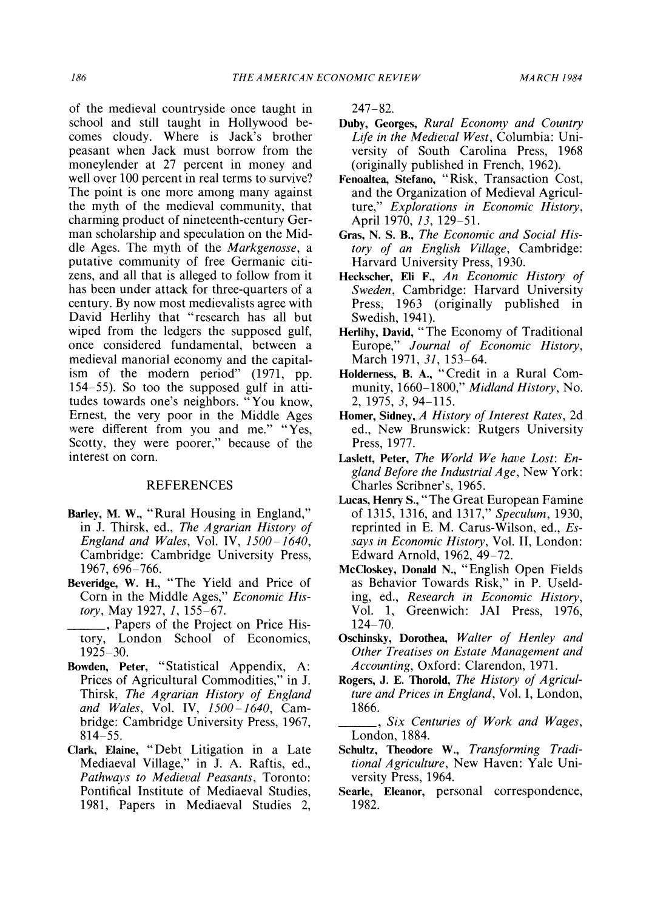**of the medieval countryside once taught in school and still taught in Hollywood becomes cloudy. Where is Jack's brother peasant when Jack must borrow from the moneylender at 27 percent in money and well over 100 percent in real terms to survive? The point is one more among many against the myth of the medieval community, that charming product of nineteenth-century German scholarship and speculation on the Middle Ages. The myth of the Markgenosse, a putative community of free Germanic citizens, and all that is alleged to follow from it has been under attack for three-quarters of a century. By now most medievalists agree with David Herlihy that "research has all but wiped from the ledgers the supposed gulf, once considered fundamental, between a medieval manorial economy and the capitalism of the modern period" (1971, pp. 154-55). So too the supposed gulf in attitudes towards one's neighbors. "You know, Ernest, the very poor in the Middle Ages were different from you and me." "Yes, Scotty, they were poorer," because of the interest on corn.** 

# **REFERENCES**

- **Barley, M. W., "Rural Housing in England," in J. Thirsk, ed., The Agrarian History of England and Wales, Vol. IV, 1500-1640, Cambridge: Cambridge University Press, 1967, 696-766.**
- **Beveridge, W. H., "The Yield and Price of Corn in the Middle Ages," Economic History, May 1927, 1, 155-67.**
- **, Papers of the Project on Price History, London School of Economics, 1925-30.**
- **Bowden, Peter, "Statistical Appendix, A: Prices of Agricultural Commodities," in J. Thirsk, The Agrarian History of England and Wales, Vol. IV, 1500-1640, Cambridge: Cambridge University Press, 1967, 814-55.**
- **Clark, Elaine, "Debt Litigation in a Late Mediaeval Village," in J. A. Raftis, ed., Pathways to Medieval Peasants, Toronto: Pontifical Institute of Mediaeval Studies, 1981, Papers in Mediaeval Studies 2,**

**247-82.** 

- **Duby, Georges, Rural Economy and Country Life in the Medieval West, Columbia: University of South Carolina Press, 1968 (originally published in French, 1962).**
- **Fenoaltea, Stefano, "Risk, Transaction Cost, and the Organization of Medieval Agriculture," Explorations in Economic History, April 1970, 13, 129-51.**
- **Gras, N. S. B., The Economic and Social History of an English Village, Cambridge: Harvard University Press, 1930.**
- **Heckscher, Eli F., An Economic History of Sweden, Cambridge: Harvard University Press, 1963 (originally published in Swedish, 1941).**
- **Herlihy, David, "The Economy of Traditional Europe," Journal of Economic History, March 1971, 31, 153-64.**
- **Holderness, B. A., "Credit in a Rural Community, 1660-1800," Midland History, No. 2, 1975, 3, 94-115.**
- **Homer, Sidney, A History of Interest Rates, 2d ed., New Brunswick: Rutgers University Press, 1977.**
- **Laslett, Peter, The World We have Lost: England Before the Industrial Age, New York: Charles Scribner's, 1965.**
- **Lucas, Henry S., "The Great European Famine of 1315, 1316, and 1317," Speculum, 1930, reprinted in E. M. Carus-Wilson, ed., Essays in Economic History, Vol. II, London: Edward Arnold, 1962, 49-72.**
- **McCloskey, Donald N., "English Open Fields as Behavior Towards Risk," in P. Uselding, ed., Research in Economic History, Vol. 1, Greenwich: JAI Press, 1976, 124-70.**
- **Oschinsky, Dorothea, Walter of Henley and Other Treatises on Estate Management and Accounting, Oxford: Clarendon, 1971.**
- **Rogers, J. E. Thorold, The History of Agriculture and Prices in England, Vol. I, London, 1866.**
- **, Six Centuries of Work and Wages, London, 1884.**
- **Schultz, Theodore W., Transforming Traditional Agriculture, New Haven: Yale University Press, 1964.**
- **Searle, Eleanor, personal correspondence, 1982.**